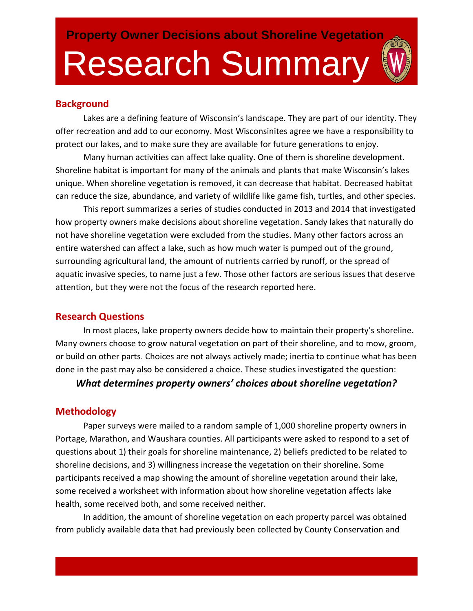## **Background**

Lakes are a defining feature of Wisconsin's landscape. They are part of our identity. They offer recreation and add to our economy. Most Wisconsinites agree we have a responsibility to protect our lakes, and to make sure they are available for future generations to enjoy.

Many human activities can affect lake quality. One of them is shoreline development. Shoreline habitat is important for many of the animals and plants that make Wisconsin's lakes unique. When shoreline vegetation is removed, it can decrease that habitat. Decreased habitat can reduce the size, abundance, and variety of wildlife like game fish, turtles, and other species.

This report summarizes a series of studies conducted in 2013 and 2014 that investigated how property owners make decisions about shoreline vegetation. Sandy lakes that naturally do not have shoreline vegetation were excluded from the studies. Many other factors across an entire watershed can affect a lake, such as how much water is pumped out of the ground, surrounding agricultural land, the amount of nutrients carried by runoff, or the spread of aquatic invasive species, to name just a few. Those other factors are serious issues that deserve attention, but they were not the focus of the research reported here.

# **Research Questions**

In most places, lake property owners decide how to maintain their property's shoreline. Many owners choose to grow natural vegetation on part of their shoreline, and to mow, groom, or build on other parts. Choices are not always actively made; inertia to continue what has been done in the past may also be considered a choice. These studies investigated the question:

### *What determines property owners' choices about shoreline vegetation?*

# **Methodology**

Paper surveys were mailed to a random sample of 1,000 shoreline property owners in Portage, Marathon, and Waushara counties. All participants were asked to respond to a set of questions about 1) their goals for shoreline maintenance, 2) beliefs predicted to be related to shoreline decisions, and 3) willingness increase the vegetation on their shoreline. Some participants received a map showing the amount of shoreline vegetation around their lake, some received a worksheet with information about how shoreline vegetation affects lake health, some received both, and some received neither.

In addition, the amount of shoreline vegetation on each property parcel was obtained from publicly available data that had previously been collected by County Conservation and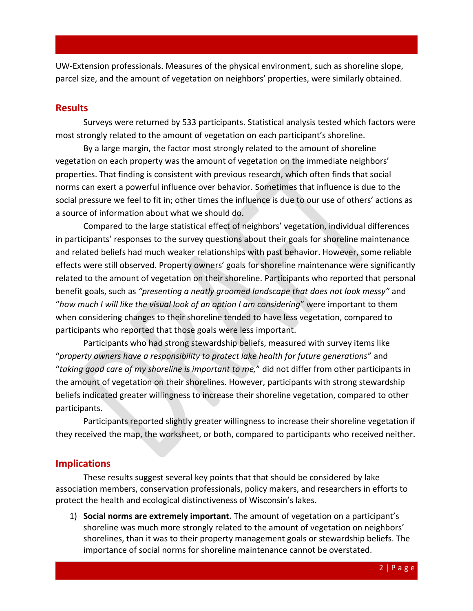UW-Extension professionals. Measures of the physical environment, such as shoreline slope, parcel size, and the amount of vegetation on neighbors' properties, were similarly obtained.

#### **Results**

Surveys were returned by 533 participants. Statistical analysis tested which factors were most strongly related to the amount of vegetation on each participant's shoreline.

By a large margin, the factor most strongly related to the amount of shoreline vegetation on each property was the amount of vegetation on the immediate neighbors' properties. That finding is consistent with previous research, which often finds that social norms can exert a powerful influence over behavior. Sometimes that influence is due to the social pressure we feel to fit in; other times the influence is due to our use of others' actions as a source of information about what we should do.

Compared to the large statistical effect of neighbors' vegetation, individual differences in participants' responses to the survey questions about their goals for shoreline maintenance and related beliefs had much weaker relationships with past behavior. However, some reliable effects were still observed. Property owners' goals for shoreline maintenance were significantly related to the amount of vegetation on their shoreline. Participants who reported that personal benefit goals, such as *"presenting a neatly groomed landscape that does not look messy"* and "*how much I will like the visual look of an option I am considering*" were important to them when considering changes to their shoreline tended to have less vegetation, compared to participants who reported that those goals were less important.

Participants who had strong stewardship beliefs, measured with survey items like "*property owners have a responsibility to protect lake health for future generations*" and "*taking good care of my shoreline is important to me,*" did not differ from other participants in the amount of vegetation on their shorelines. However, participants with strong stewardship beliefs indicated greater willingness to increase their shoreline vegetation, compared to other participants.

Participants reported slightly greater willingness to increase their shoreline vegetation if they received the map, the worksheet, or both, compared to participants who received neither.

#### **Implications**

These results suggest several key points that that should be considered by lake association members, conservation professionals, policy makers, and researchers in efforts to protect the health and ecological distinctiveness of Wisconsin's lakes.

1) **Social norms are extremely important.** The amount of vegetation on a participant's shoreline was much more strongly related to the amount of vegetation on neighbors' shorelines, than it was to their property management goals or stewardship beliefs. The importance of social norms for shoreline maintenance cannot be overstated.